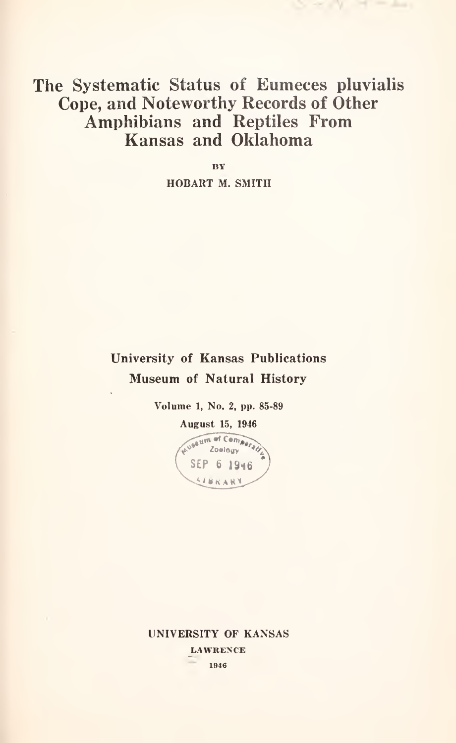# The Systematic Status of Eumeces pluvialis Cope, and Noteworthy Records of Other Amphibians and Reptiles From Kansas and Oklahoma

BY HOBART M. SMITH

# University of Kansas Publications Museum of Natural History

Volume 1, No. 2, pp. 85-89



UNIVERSITY OF KANSAS LAWRENCE 1946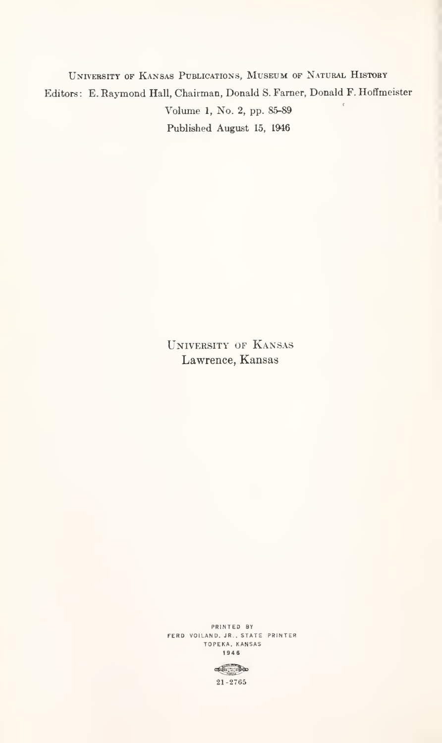University of Kansas Publications, Museum of Natural History Editors: E. Raymond Hall, Chairman, Donald S.Farner, Donald F. Hoffmeister Volume 1, No. 2, pp. 85-89 Published August 15, 1946

> University of Kansas Lawrence, Kansas

PRINTED BY FERD VOILAND. JR. .STATE PRINTER TOPEKA. KANSAS 1946

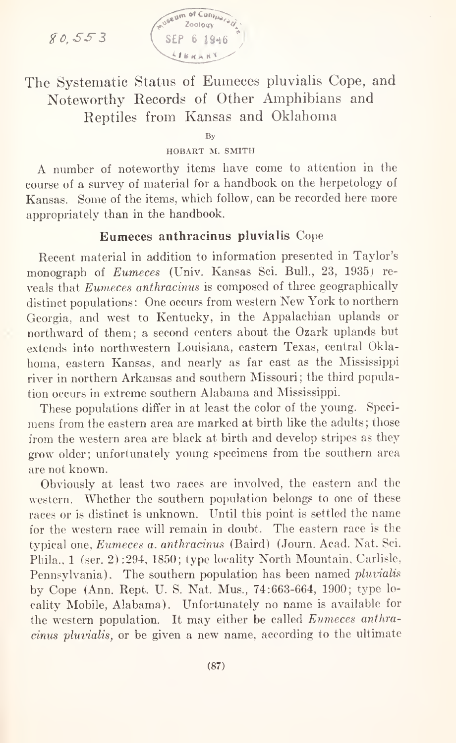gO,SS3



The Systematic Status of Eumeces pluvialis Cope, and Noteworthy Records of Other Amphibians and Reptiles from Kansas and Oklahoma

By

#### HOBART M. SMITH

A number of noteworthy items have come to attention in the course of <sup>a</sup> survey of material for <sup>a</sup> handbook on the herpetology of Kansas. Some of the items, which follow, can be recorded here more appropriately than in the handbook.

### Eumeces anthracinus pluvialis Cope

Recent material in addition to information presented in Taylor's monograph of Eumeces (Univ. Kansas Sci. Bull, 23, 1935) re veals that Eumeces anthracinus iscomposed of three geographically distinct populations: One occurs from western New York to northern Georgia, and west to Kentucky, in the Appalachian uplands or northward of them; <sup>a</sup> second centers about the Ozark uplands but extends into northwestern Louisiana, eastern Texas, central Okla homa, eastern Kansas, and nearly as far east as the Mississippi river in northern Arkansas and southern Missouri; the third population occurs in extreme southern Alabama and Mississippi.

These populations differ in at least the color of the young. Speci mens from the eastern area are marked at birth like the adults ; those from the western area are black at birth and develop stripes as they grow older; unfortunately young specimens from the southern area are not known.

Obviously at least two races are involved, the eastern and the western. Whether the southern population belongs to one of these races or is distinct is unknown. Until this point is settled the name for the western race will remain in doubt. The eastern race is the typical one, Eumeces a. anthracinus (Baird) (Journ. Acad. Nat. Sci. Phila., <sup>1</sup> (ser. 2) :294, 1850; type locality North Mountain, Carlisle. Pennsylvania). The southern population has been named pluvialis by Cope (Ann. Rept. U. S. Nat. Mus., 74:663-664, 1900; type lo cality Mobile, Alabama). Unfortunately no name is available for the western population. It may either be called Eumeces anthracinus pluvialis, or be given a new name, according to the ultimate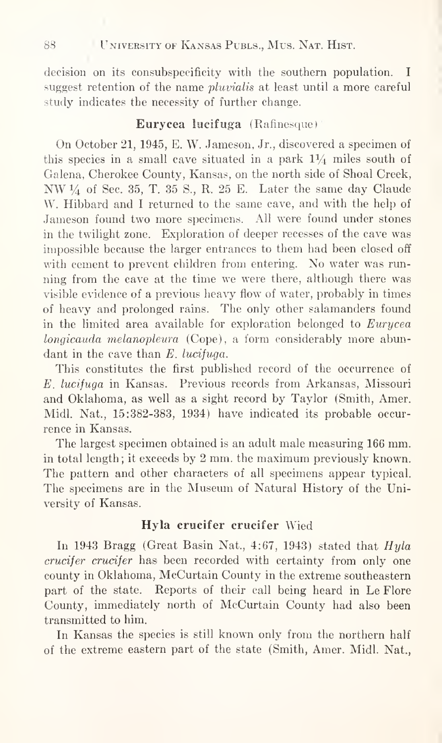decision on its consubspecificity with the southern population. <sup>I</sup> suggest retention of the name pluvialis at least until <sup>a</sup> more careful study indicates the necessity of further change.

#### Eurycea lucifuga (Rafinesque)

On October 21, 1945, E. W. Jameson, Jr., discovered <sup>a</sup> specimen of this species in a small cave situated in a park  $1\frac{1}{4}$  miles south of Galena, Cherokee County, Kansas, on the north side of Shoal Creek, NW  $\frac{1}{4}$  of Sec. 35, T. 35 S., R. 25 E. Later the same day Claude W. Hibbard and <sup>I</sup> returned to the same cave, and with the help of Jameson found two more specimens. All were found under stones in the twilight zone. Exploration of deeper recesses of the cave was impossible because the larger entrances to them had been closed off with cement to prevent children from entering. No water was run ning from the cave at the time we were there, although there was visible evidence of a previous heavy flow of water, probably in times of heavy and prolonged rains. The only other salamanders found in the limited area available for exploration belonged to Eurycea longicauda melanopleura (Cope), <sup>a</sup> form considerably more abun dant in the cave than E. lucituga.

This constitutes the first published record of the occurrence of E. lucifuga in Kansas. Previous records from Arkansas, Missouri and Oklahoma, as well as a sight record by Taylor (Smith, Amer. Midi. Nat., 15:382-383, 1934) have indicated its probable occur rence in Kansas.

The largest specimen obtained is an adult male measuring  $166$  mm. in total length; it exceeds by <sup>2</sup> mm. the maximum previously known. The pattern and other characters of all specimens appear typical. The specimens are in the Museum of Natural History of the University of Kansas.

### Hyla crucifer crucifer Wied

In 1943 Bragg (Great Basin Nat., 4:67, 1943) stated that  $Hula$ crucifer crucifer has been recorded with certainty from only one county in Oklahoma, McCurtain County in the extreme southeastern part of the state. Reports of their call being heard in Le Flore County, immediately north of McCurtain County had also been transmitted to him.

In Kansas the species is still known only from the northern half of the extreme eastern part of the state (Smith, Amer. Midi. Nat.,